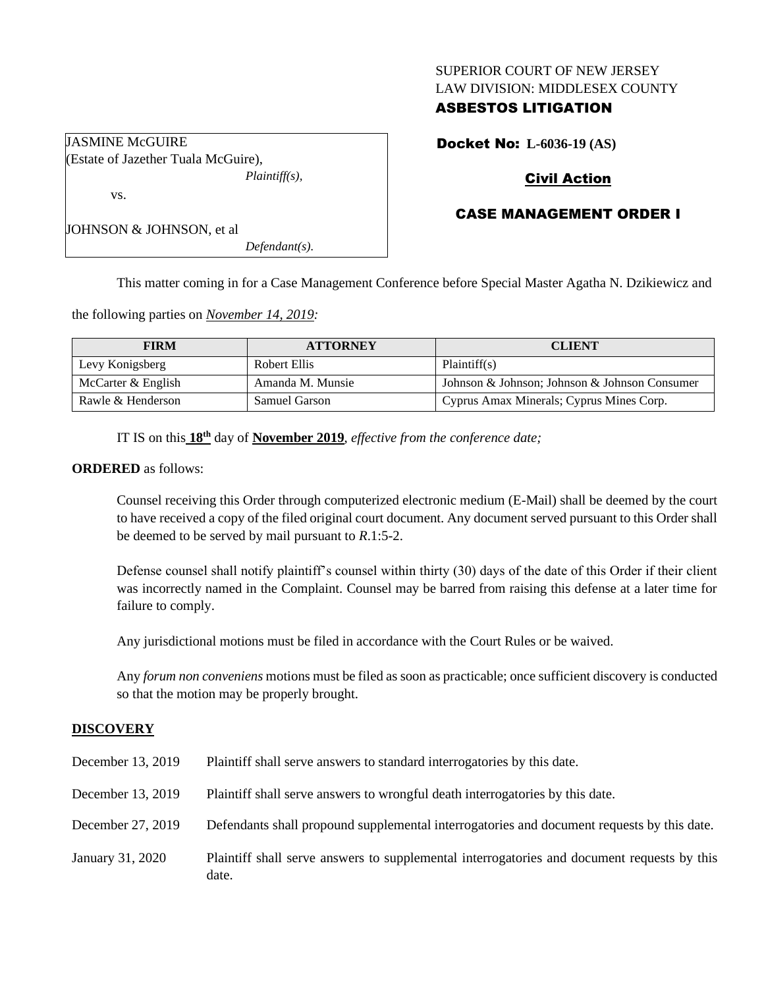### SUPERIOR COURT OF NEW JERSEY LAW DIVISION: MIDDLESEX COUNTY

# ASBESTOS LITIGATION

JASMINE McGUIRE (Estate of Jazether Tuala McGuire), *Plaintiff(s),* vs.

# Docket No: **L-6036-19 (AS)**

# Civil Action

## CASE MANAGEMENT ORDER I

JOHNSON & JOHNSON, et al

*Defendant(s).*

This matter coming in for a Case Management Conference before Special Master Agatha N. Dzikiewicz and

the following parties on *November 14, 2019:*

| <b>FIRM</b>        | <b>ATTORNEY</b>      | <b>CLIENT</b>                                 |
|--------------------|----------------------|-----------------------------------------------|
| Levy Konigsberg    | Robert Ellis         | Plaintiff(s)                                  |
| McCarter & English | Amanda M. Munsie     | Johnson & Johnson; Johnson & Johnson Consumer |
| Rawle & Henderson  | <b>Samuel Garson</b> | Cyprus Amax Minerals; Cyprus Mines Corp.      |

IT IS on this **18th** day of **November 2019**, *effective from the conference date;*

### **ORDERED** as follows:

Counsel receiving this Order through computerized electronic medium (E-Mail) shall be deemed by the court to have received a copy of the filed original court document. Any document served pursuant to this Order shall be deemed to be served by mail pursuant to *R*.1:5-2.

Defense counsel shall notify plaintiff's counsel within thirty (30) days of the date of this Order if their client was incorrectly named in the Complaint. Counsel may be barred from raising this defense at a later time for failure to comply.

Any jurisdictional motions must be filed in accordance with the Court Rules or be waived.

Any *forum non conveniens* motions must be filed as soon as practicable; once sufficient discovery is conducted so that the motion may be properly brought.

### **DISCOVERY**

| December 13, 2019 | Plaintiff shall serve answers to standard interrogatories by this date.                              |
|-------------------|------------------------------------------------------------------------------------------------------|
| December 13, 2019 | Plaintiff shall serve answers to wrongful death interrogatories by this date.                        |
| December 27, 2019 | Defendants shall propound supplemental interrogatories and document requests by this date.           |
| January 31, 2020  | Plaintiff shall serve answers to supplemental interrogatories and document requests by this<br>date. |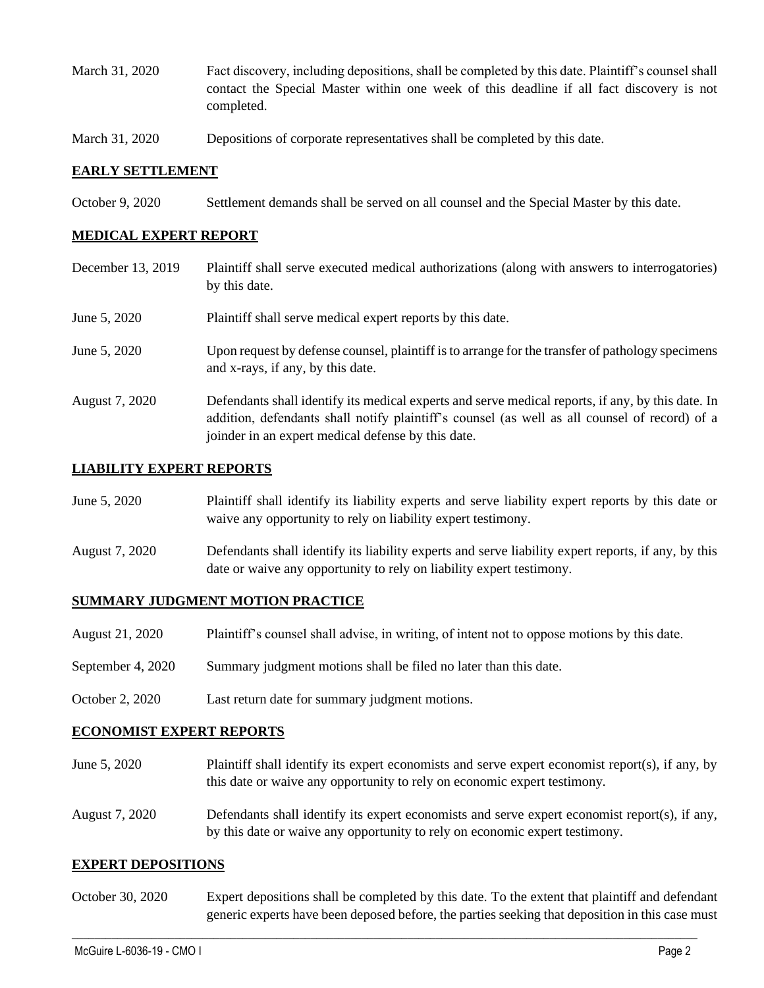- March 31, 2020 Fact discovery, including depositions, shall be completed by this date. Plaintiff's counsel shall contact the Special Master within one week of this deadline if all fact discovery is not completed.
- March 31, 2020 Depositions of corporate representatives shall be completed by this date.

### **EARLY SETTLEMENT**

October 9, 2020 Settlement demands shall be served on all counsel and the Special Master by this date.

#### **MEDICAL EXPERT REPORT**

- December 13, 2019 Plaintiff shall serve executed medical authorizations (along with answers to interrogatories) by this date.
- June 5, 2020 Plaintiff shall serve medical expert reports by this date.
- June 5, 2020 Upon request by defense counsel, plaintiff is to arrange for the transfer of pathology specimens and x-rays, if any, by this date.
- August 7, 2020 Defendants shall identify its medical experts and serve medical reports, if any, by this date. In addition, defendants shall notify plaintiff's counsel (as well as all counsel of record) of a joinder in an expert medical defense by this date.

#### **LIABILITY EXPERT REPORTS**

| June 5, 2020   | Plaintiff shall identify its liability experts and serve liability expert reports by this date or<br>waive any opportunity to rely on liability expert testimony.           |
|----------------|-----------------------------------------------------------------------------------------------------------------------------------------------------------------------------|
| August 7, 2020 | Defendants shall identify its liability experts and serve liability expert reports, if any, by this<br>date or waive any opportunity to rely on liability expert testimony. |

#### **SUMMARY JUDGMENT MOTION PRACTICE**

- August 21, 2020 Plaintiff's counsel shall advise, in writing, of intent not to oppose motions by this date.
- September 4, 2020 Summary judgment motions shall be filed no later than this date.
- October 2, 2020 Last return date for summary judgment motions.

#### **ECONOMIST EXPERT REPORTS**

- June 5, 2020 Plaintiff shall identify its expert economists and serve expert economist report(s), if any, by this date or waive any opportunity to rely on economic expert testimony.
- August 7, 2020 Defendants shall identify its expert economists and serve expert economist report(s), if any, by this date or waive any opportunity to rely on economic expert testimony.

#### **EXPERT DEPOSITIONS**

October 30, 2020 Expert depositions shall be completed by this date. To the extent that plaintiff and defendant generic experts have been deposed before, the parties seeking that deposition in this case must

 $\_$  , and the set of the set of the set of the set of the set of the set of the set of the set of the set of the set of the set of the set of the set of the set of the set of the set of the set of the set of the set of th